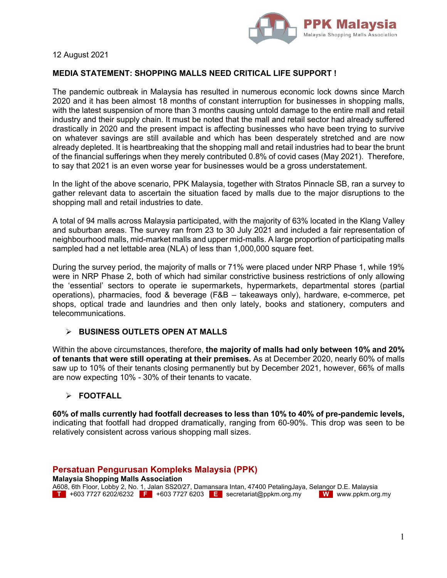

12 August 2021

### **MEDIA STATEMENT: SHOPPING MALLS NEED CRITICAL LIFE SUPPORT !**

The pandemic outbreak in Malaysia has resulted in numerous economic lock downs since March 2020 and it has been almost 18 months of constant interruption for businesses in shopping malls, with the latest suspension of more than 3 months causing untold damage to the entire mall and retail industry and their supply chain. It must be noted that the mall and retail sector had already suffered drastically in 2020 and the present impact is affecting businesses who have been trying to survive on whatever savings are still available and which has been desperately stretched and are now already depleted. It is heartbreaking that the shopping mall and retail industries had to bear the brunt of the financial sufferings when they merely contributed 0.8% of covid cases (May 2021). Therefore, to say that 2021 is an even worse year for businesses would be a gross understatement.

In the light of the above scenario, PPK Malaysia, together with Stratos Pinnacle SB, ran a survey to gather relevant data to ascertain the situation faced by malls due to the major disruptions to the shopping mall and retail industries to date.

A total of 94 malls across Malaysia participated, with the majority of 63% located in the Klang Valley and suburban areas. The survey ran from 23 to 30 July 2021 and included a fair representation of neighbourhood malls, mid-market malls and upper mid-malls. A large proportion of participating malls sampled had a net lettable area (NLA) of less than 1,000,000 square feet.

During the survey period, the majority of malls or 71% were placed under NRP Phase 1, while 19% were in NRP Phase 2, both of which had similar constrictive business restrictions of only allowing the 'essential' sectors to operate ie supermarkets, hypermarkets, departmental stores (partial operations), pharmacies, food & beverage (F&B – takeaways only), hardware, e-commerce, pet shops, optical trade and laundries and then only lately, books and stationery, computers and telecommunications.

### **BUSINESS OUTLETS OPEN AT MALLS**

Within the above circumstances, therefore, **the majority of malls had only between 10% and 20% of tenants that were still operating at their premises.** As at December 2020, nearly 60% of malls saw up to 10% of their tenants closing permanently but by December 2021, however, 66% of malls are now expecting 10% - 30% of their tenants to vacate.

### **FOOTFALL**

**60% of malls currently had footfall decreases to less than 10% to 40% of pre-pandemic levels,**  indicating that footfall had dropped dramatically, ranging from 60-90%. This drop was seen to be relatively consistent across various shopping mall sizes.

**Persatuan Pengurusan Kompleks Malaysia (PPK) Malaysia Shopping Malls Association**  A608, 6th Floor, Lobby 2, No. 1, Jalan SS20/27, Damansara Intan, 47400 PetalingJaya, Selangor D.E. Malaysia **T** +603 7727 6202/6232 **F** +603 7727 6203 **E** secretariat@ppkm.org.my **W** www.ppkm.org.my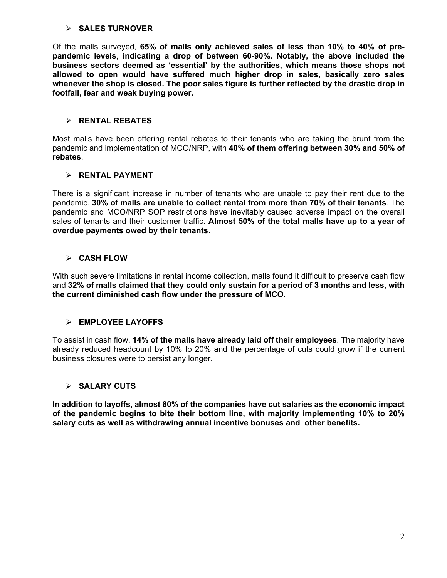#### **SALES TURNOVER**

Of the malls surveyed, **65% of malls only achieved sales of less than 10% to 40% of prepandemic levels**, **indicating a drop of between 60-90%. Notably, the above included the business sectors deemed as 'essential' by the authorities, which means those shops not allowed to open would have suffered much higher drop in sales, basically zero sales whenever the shop is closed. The poor sales figure is further reflected by the drastic drop in footfall, fear and weak buying power.** 

### **RENTAL REBATES**

Most malls have been offering rental rebates to their tenants who are taking the brunt from the pandemic and implementation of MCO/NRP, with **40% of them offering between 30% and 50% of rebates**.

### **RENTAL PAYMENT**

There is a significant increase in number of tenants who are unable to pay their rent due to the pandemic. **30% of malls are unable to collect rental from more than 70% of their tenants**. The pandemic and MCO/NRP SOP restrictions have inevitably caused adverse impact on the overall sales of tenants and their customer traffic. **Almost 50% of the total malls have up to a year of overdue payments owed by their tenants**.

## **CASH FLOW**

With such severe limitations in rental income collection, malls found it difficult to preserve cash flow and **32% of malls claimed that they could only sustain for a period of 3 months and less, with the current diminished cash flow under the pressure of MCO**.

### **EMPLOYEE LAYOFFS**

To assist in cash flow, **14% of the malls have already laid off their employees**. The majority have already reduced headcount by 10% to 20% and the percentage of cuts could grow if the current business closures were to persist any longer.

# **SALARY CUTS**

**In addition to layoffs, almost 80% of the companies have cut salaries as the economic impact of the pandemic begins to bite their bottom line, with majority implementing 10% to 20% salary cuts as well as withdrawing annual incentive bonuses and other benefits.**